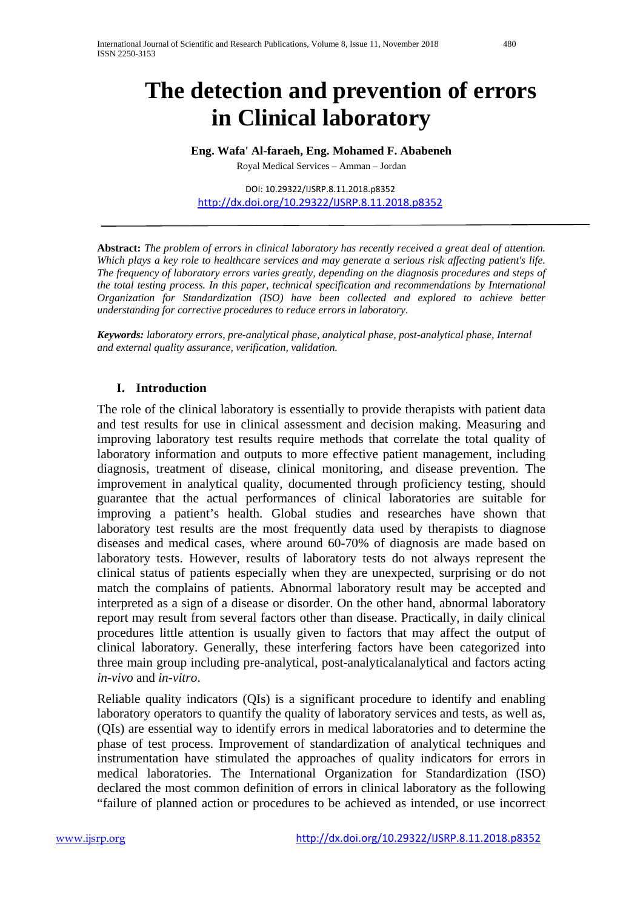# **The detection and prevention of errors in Clinical laboratory**

**Eng. Wafa' Al-faraeh, Eng. Mohamed F. Ababeneh**

Royal Medical Services – Amman – Jordan

DOI: 10.29322/IJSRP.8.11.2018.p8352 <http://dx.doi.org/10.29322/IJSRP.8.11.2018.p8352>

**Abstract:** *The problem of errors in clinical laboratory has recently received a great deal of attention. Which plays a key role to healthcare services and may generate a serious risk affecting patient's life. The frequency of laboratory errors varies greatly, depending on the diagnosis procedures and steps of the total testing process. In this paper, technical specification and recommendations by International Organization for Standardization (ISO) have been collected and explored to achieve better understanding for corrective procedures to reduce errors in laboratory*.

*Keywords: laboratory errors, pre-analytical phase, analytical phase, post-analytical phase, Internal and external quality assurance, verification, validation.*

## **I. Introduction**

The role of the clinical laboratory is essentially to provide therapists with patient data and test results for use in clinical assessment and decision making. Measuring and improving laboratory test results require methods that correlate the total quality of laboratory information and outputs to more effective patient management, including diagnosis, treatment of disease, clinical monitoring, and disease prevention. The improvement in analytical quality, documented through proficiency testing, should guarantee that the actual performances of clinical laboratories are suitable for improving a patient's health. Global studies and researches have shown that laboratory test results are the most frequently data used by therapists to diagnose diseases and medical cases, where around 60-70% of diagnosis are made based on laboratory tests. However, results of laboratory tests do not always represent the clinical status of patients especially when they are unexpected, surprising or do not match the complains of patients. Abnormal laboratory result may be accepted and interpreted as a sign of a disease or disorder. On the other hand, abnormal laboratory report may result from several factors other than disease. Practically, in daily clinical procedures little attention is usually given to factors that may affect the output of clinical laboratory. Generally, these interfering factors have been categorized into three main group including pre-analytical, post-analyticalanalytical and factors acting *in-vivo* and *in-vitro*.

Reliable quality indicators (QIs) is a significant procedure to identify and enabling laboratory operators to quantify the quality of laboratory services and tests, as well as, (QIs) are essential way to identify errors in medical laboratories and to determine the phase of test process. Improvement of standardization of analytical techniques and instrumentation have stimulated the approaches of quality indicators for errors in medical laboratories. The International Organization for Standardization (ISO) declared the most common definition of errors in clinical laboratory as the following "failure of planned action or procedures to be achieved as intended, or use incorrect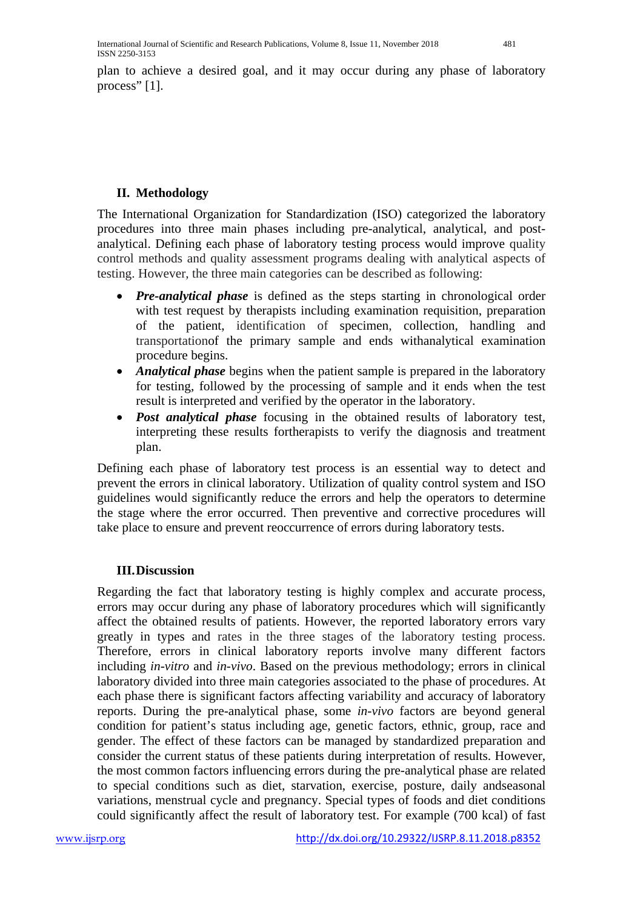plan to achieve a desired goal, and it may occur during any phase of laboratory process" [1].

## **II. Methodology**

The International Organization for Standardization (ISO) categorized the laboratory procedures into three main phases including pre-analytical, analytical, and postanalytical. Defining each phase of laboratory testing process would improve quality control methods and quality assessment programs dealing with analytical aspects of testing. However, the three main categories can be described as following:

- *Pre-analytical phase* is defined as the steps starting in chronological order with test request by therapists including examination requisition, preparation of the patient, identification of specimen, collection, handling and transportationof the primary sample and ends withanalytical examination procedure begins.
- *Analytical phase* begins when the patient sample is prepared in the laboratory for testing, followed by the processing of sample and it ends when the test result is interpreted and verified by the operator in the laboratory.
- *Post analytical phase* focusing in the obtained results of laboratory test, interpreting these results fortherapists to verify the diagnosis and treatment plan.

Defining each phase of laboratory test process is an essential way to detect and prevent the errors in clinical laboratory. Utilization of quality control system and ISO guidelines would significantly reduce the errors and help the operators to determine the stage where the error occurred. Then preventive and corrective procedures will take place to ensure and prevent reoccurrence of errors during laboratory tests.

## **III.Discussion**

Regarding the fact that laboratory testing is highly complex and accurate process, errors may occur during any phase of laboratory procedures which will significantly affect the obtained results of patients. However, the reported laboratory errors vary greatly in types and rates in the three stages of the laboratory testing process. Therefore, errors in clinical laboratory reports involve many different factors including *in-vitro* and *in-vivo*. Based on the previous methodology; errors in clinical laboratory divided into three main categories associated to the phase of procedures. At each phase there is significant factors affecting variability and accuracy of laboratory reports. During the pre-analytical phase, some *in-vivo* factors are beyond general condition for patient's status including age, genetic factors, ethnic, group, race and gender. The effect of these factors can be managed by standardized preparation and consider the current status of these patients during interpretation of results. However, the most common factors influencing errors during the pre-analytical phase are related to special conditions such as diet, starvation, exercise, posture, daily andseasonal variations, menstrual cycle and pregnancy. Special types of foods and diet conditions could significantly affect the result of laboratory test. For example (700 kcal) of fast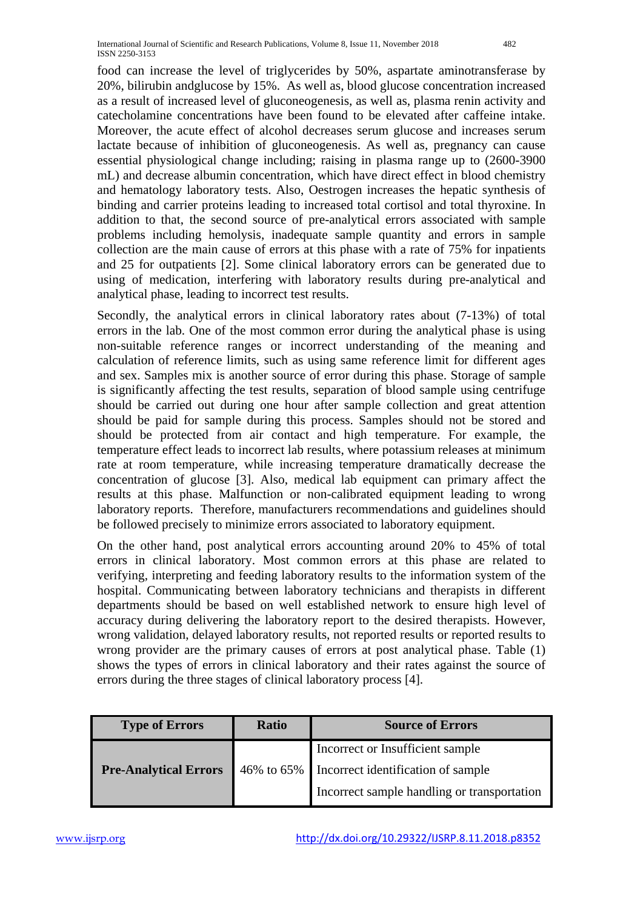food can increase the level of triglycerides by 50%, aspartate aminotransferase by 20%, bilirubin andglucose by 15%. As well as, blood glucose concentration increased as a result of increased level of gluconeogenesis, as well as, plasma renin activity and catecholamine concentrations have been found to be elevated after caffeine intake. Moreover, the acute effect of alcohol decreases serum glucose and increases serum lactate because of inhibition of gluconeogenesis. As well as, pregnancy can cause essential physiological change including; raising in plasma range up to (2600-3900 mL) and decrease albumin concentration, which have direct effect in blood chemistry and hematology laboratory tests. Also, Oestrogen increases the hepatic synthesis of binding and carrier proteins leading to increased total cortisol and total thyroxine. In addition to that, the second source of pre-analytical errors associated with sample problems including hemolysis, inadequate sample quantity and errors in sample collection are the main cause of errors at this phase with a rate of 75% for inpatients and 25 for outpatients [2]. Some clinical laboratory errors can be generated due to using of medication, interfering with laboratory results during pre-analytical and analytical phase, leading to incorrect test results.

Secondly, the analytical errors in clinical laboratory rates about (7-13%) of total errors in the lab. One of the most common error during the analytical phase is using non-suitable reference ranges or incorrect understanding of the meaning and calculation of reference limits, such as using same reference limit for different ages and sex. Samples mix is another source of error during this phase. Storage of sample is significantly affecting the test results, separation of blood sample using centrifuge should be carried out during one hour after sample collection and great attention should be paid for sample during this process. Samples should not be stored and should be protected from air contact and high temperature. For example, the temperature effect leads to incorrect lab results, where potassium releases at minimum rate at room temperature, while increasing temperature dramatically decrease the concentration of glucose [3]. Also, medical lab equipment can primary affect the results at this phase. Malfunction or non-calibrated equipment leading to wrong laboratory reports. Therefore, manufacturers recommendations and guidelines should be followed precisely to minimize errors associated to laboratory equipment.

On the other hand, post analytical errors accounting around 20% to 45% of total errors in clinical laboratory. Most common errors at this phase are related to verifying, interpreting and feeding laboratory results to the information system of the hospital. Communicating between laboratory technicians and therapists in different departments should be based on well established network to ensure high level of accuracy during delivering the laboratory report to the desired therapists. However, wrong validation, delayed laboratory results, not reported results or reported results to wrong provider are the primary causes of errors at post analytical phase. Table (1) shows the types of errors in clinical laboratory and their rates against the source of errors during the three stages of clinical laboratory process [4].

| <b>Type of Errors</b>        | <b>Ratio</b> | <b>Source of Errors</b>                       |  |
|------------------------------|--------------|-----------------------------------------------|--|
| <b>Pre-Analytical Errors</b> |              | Incorrect or Insufficient sample              |  |
|                              |              | 46% to 65% Incorrect identification of sample |  |
|                              |              | Incorrect sample handling or transportation   |  |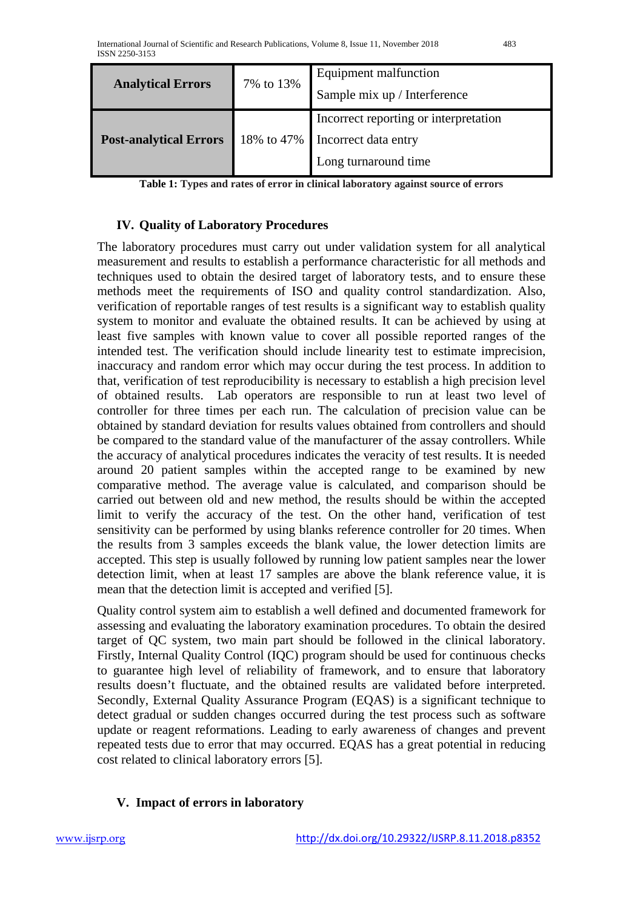| <b>Analytical Errors</b>      | 7% to 13%  | Equipment malfunction                 |  |
|-------------------------------|------------|---------------------------------------|--|
|                               |            | Sample mix up / Interference          |  |
|                               | 18% to 47% | Incorrect reporting or interpretation |  |
| <b>Post-analytical Errors</b> |            | Incorrect data entry                  |  |
|                               |            | Long turnaround time                  |  |

**Table 1: Types and rates of error in clinical laboratory against source of errors**

#### **IV. Quality of Laboratory Procedures**

The laboratory procedures must carry out under validation system for all analytical measurement and results to establish a performance characteristic for all methods and techniques used to obtain the desired target of laboratory tests, and to ensure these methods meet the requirements of ISO and quality control standardization. Also, verification of reportable ranges of test results is a significant way to establish quality system to monitor and evaluate the obtained results. It can be achieved by using at least five samples with known value to cover all possible reported ranges of the intended test. The verification should include linearity test to estimate imprecision, inaccuracy and random error which may occur during the test process. In addition to that, verification of test reproducibility is necessary to establish a high precision level of obtained results. Lab operators are responsible to run at least two level of controller for three times per each run. The calculation of precision value can be obtained by standard deviation for results values obtained from controllers and should be compared to the standard value of the manufacturer of the assay controllers. While the accuracy of analytical procedures indicates the veracity of test results. It is needed around 20 patient samples within the accepted range to be examined by new comparative method. The average value is calculated, and comparison should be carried out between old and new method, the results should be within the accepted limit to verify the accuracy of the test. On the other hand, verification of test sensitivity can be performed by using blanks reference controller for 20 times. When the results from 3 samples exceeds the blank value, the lower detection limits are accepted. This step is usually followed by running low patient samples near the lower detection limit, when at least 17 samples are above the blank reference value, it is mean that the detection limit is accepted and verified [5].

Quality control system aim to establish a well defined and documented framework for assessing and evaluating the laboratory examination procedures. To obtain the desired target of QC system, two main part should be followed in the clinical laboratory. Firstly, Internal Quality Control (IQC) program should be used for continuous checks to guarantee high level of reliability of framework, and to ensure that laboratory results doesn't fluctuate, and the obtained results are validated before interpreted. Secondly, External Quality Assurance Program (EQAS) is a significant technique to detect gradual or sudden changes occurred during the test process such as software update or reagent reformations. Leading to early awareness of changes and prevent repeated tests due to error that may occurred. EQAS has a great potential in reducing cost related to clinical laboratory errors [5].

## **V. Impact of errors in laboratory**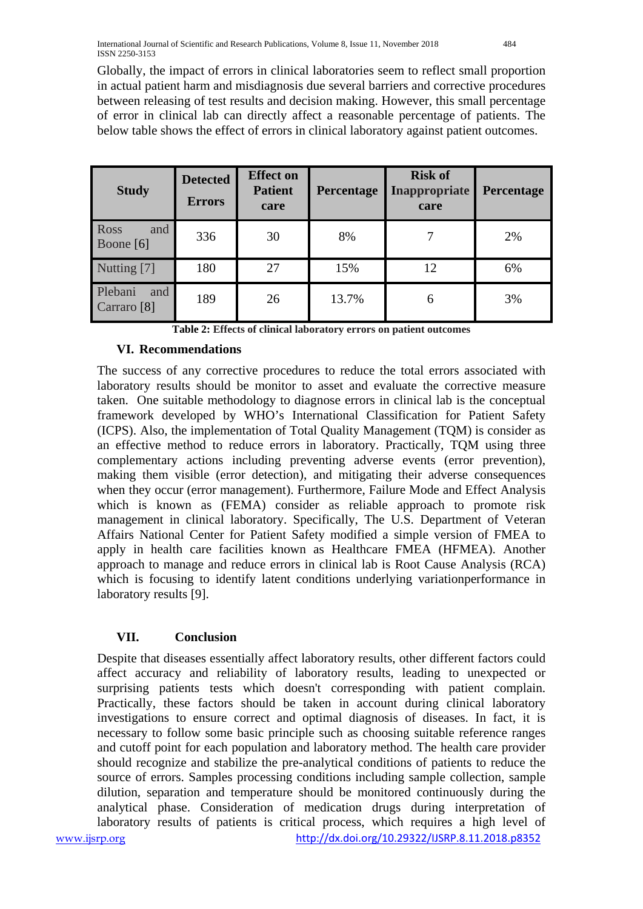Globally, the impact of errors in clinical laboratories seem to reflect small proportion in actual patient harm and misdiagnosis due several barriers and corrective procedures between releasing of test results and decision making. However, this small percentage of error in clinical lab can directly affect a reasonable percentage of patients. The below table shows the effect of errors in clinical laboratory against patient outcomes.

| <b>Study</b>                             | <b>Detected</b><br><b>Errors</b> | <b>Effect on</b><br><b>Patient</b><br>care | Percentage | <b>Risk of</b><br>Inappropriate<br>care | Percentage |
|------------------------------------------|----------------------------------|--------------------------------------------|------------|-----------------------------------------|------------|
| Ross<br>and<br>Boone [6]                 | 336                              | 30                                         | 8%         |                                         | 2%         |
| Nutting [7]                              | 180                              | 27                                         | 15%        | 12                                      | 6%         |
| Plebani<br>and<br>Carraro <sup>[8]</sup> | 189                              | 26                                         | 13.7%      | 6                                       | 3%         |

**Table 2: Effects of clinical laboratory errors on patient outcomes**

### **VI. Recommendations**

The success of any corrective procedures to reduce the total errors associated with laboratory results should be monitor to asset and evaluate the corrective measure taken. One suitable methodology to diagnose errors in clinical lab is the conceptual framework developed by WHO's International Classification for Patient Safety (ICPS). Also, the implementation of Total Quality Management (TQM) is consider as an effective method to reduce errors in laboratory. Practically, TQM using three complementary actions including preventing adverse events (error prevention), making them visible (error detection), and mitigating their adverse consequences when they occur (error management). Furthermore, Failure Mode and Effect Analysis which is known as (FEMA) consider as reliable approach to promote risk management in clinical laboratory. Specifically, The U.S. Department of Veteran Affairs National Center for Patient Safety modified a simple version of FMEA to apply in health care facilities known as Healthcare FMEA (HFMEA). Another approach to manage and reduce errors in clinical lab is Root Cause Analysis (RCA) which is focusing to identify latent conditions underlying variationperformance in laboratory results [9].

## **VII. Conclusion**

Despite that diseases essentially affect laboratory results, other different factors could affect accuracy and reliability of laboratory results, leading to unexpected or surprising patients tests which doesn't corresponding with patient complain. Practically, these factors should be taken in account during clinical laboratory investigations to ensure correct and optimal diagnosis of diseases. In fact, it is necessary to follow some basic principle such as choosing suitable reference ranges and cutoff point for each population and laboratory method. The health care provider should recognize and stabilize the pre-analytical conditions of patients to reduce the source of errors. Samples processing conditions including sample collection, sample dilution, separation and temperature should be monitored continuously during the analytical phase. Consideration of medication drugs during interpretation of laboratory results of patients is critical process, which requires a high level of